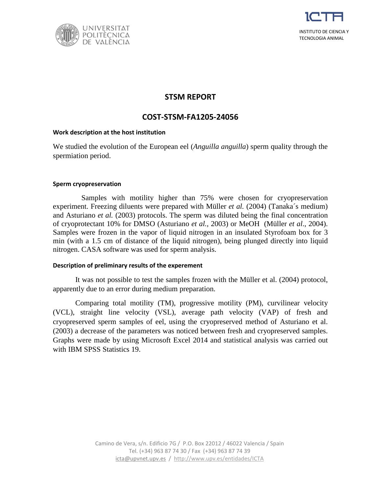



# **STSM REPORT**

## **COST-STSM-FA1205-24056**

### **Work description at the host institution**

We studied the evolution of the European eel (*Anguilla anguilla*) sperm quality through the spermiation period.

#### **Sperm cryopreservation**

Samples with motility higher than 75% were chosen for cryopreservation experiment. Freezing diluents were prepared with Müller *et al.* (2004) (Tanaka´s medium) and Asturiano *et al.* (2003) protocols. The sperm was diluted being the final concentration of cryoprotectant 10% for DMSO (Asturiano *et al.*, 2003) or MeOH (Müller *et al*., 2004). Samples were frozen in the vapor of liquid nitrogen in an insulated Styrofoam box for 3 min (with a 1.5 cm of distance of the liquid nitrogen), being plunged directly into liquid nitrogen. CASA software was used for sperm analysis.

### **Description of preliminary results of the experement**

It was not possible to test the samples frozen with the Müller et al. (2004) protocol, apparently due to an error during medium preparation.

Comparing total motility (TM), progressive motility (PM), curvilinear velocity (VCL), straight line velocity (VSL), average path velocity (VAP) of fresh and cryopreserved sperm samples of eel, using the cryopreserved method of Asturiano et al. (2003) a decrease of the parameters was noticed between fresh and cryopreserved samples. Graphs were made by using Microsoft Excel 2014 and statistical analysis was carried out with IBM SPSS Statistics 19.